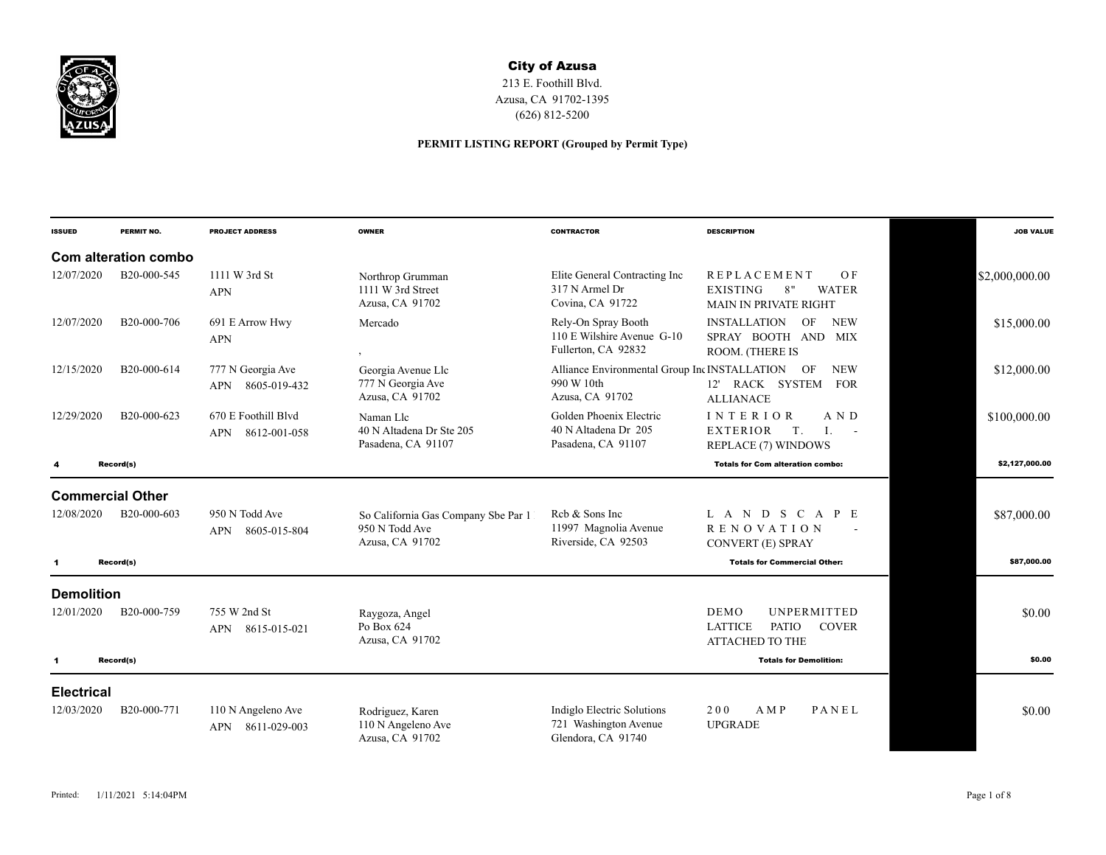

## City of Azusa

213 E. Foothill Blvd. Azusa, CA 91702-1395 (626) 812-5200

## **PERMIT LISTING REPORT (Grouped by Permit Type)**

| <b>ISSUED</b>           | PERMIT NO.           | <b>PROJECT ADDRESS</b>                           | <b>OWNER</b>                                                             | <b>CONTRACTOR</b>                                                                 | <b>DESCRIPTION</b>                                                                                            | <b>JOB VALUE</b> |
|-------------------------|----------------------|--------------------------------------------------|--------------------------------------------------------------------------|-----------------------------------------------------------------------------------|---------------------------------------------------------------------------------------------------------------|------------------|
|                         | Com alteration combo |                                                  |                                                                          |                                                                                   |                                                                                                               |                  |
| 12/07/2020              | B20-000-545          | 1111 W 3rd St<br><b>APN</b>                      | Northrop Grumman<br>1111 W 3rd Street<br>Azusa, CA 91702                 | Elite General Contracting Inc<br>317 N Armel Dr<br>Covina, CA 91722               | <b>REPLACEMENT</b><br>O <sub>F</sub><br>8"<br><b>WATER</b><br><b>EXISTING</b><br><b>MAIN IN PRIVATE RIGHT</b> | \$2,000,000.00   |
| 12/07/2020              | B20-000-706          | 691 E Arrow Hwy<br><b>APN</b>                    | Mercado                                                                  | Rely-On Spray Booth<br>110 E Wilshire Avenue G-10<br>Fullerton, CA 92832          | <b>NEW</b><br><b>INSTALLATION</b><br>OF<br>SPRAY BOOTH AND MIX<br>ROOM. (THERE IS                             | \$15,000.00      |
| 12/15/2020              | B20-000-614          | 777 N Georgia Ave<br><b>APN</b><br>8605-019-432  | Georgia Avenue Llc<br>777 N Georgia Ave<br>Azusa, CA 91702               | Alliance Environmental Group Inc INSTALLATION OF<br>990 W 10th<br>Azusa, CA 91702 | <b>NEW</b><br>12' RACK SYSTEM<br><b>FOR</b><br><b>ALLIANACE</b>                                               | \$12,000.00      |
| 12/29/2020              | B20-000-623          | 670 E Foothill Blyd<br>8612-001-058<br>APN       | Naman Llc<br>40 N Altadena Dr Ste 205<br>Pasadena, CA 91107              | Golden Phoenix Electric<br>40 N Altadena Dr 205<br>Pasadena, CA 91107             | INTERIOR<br>A N D<br><b>EXTERIOR</b><br>T.<br>$\mathbf{I}$ .<br>$\sim$ $-$<br>REPLACE (7) WINDOWS             | \$100,000.00     |
| 4                       | Record(s)            |                                                  |                                                                          |                                                                                   | <b>Totals for Com alteration combo:</b>                                                                       | \$2,127,000.00   |
| <b>Commercial Other</b> |                      |                                                  |                                                                          |                                                                                   |                                                                                                               |                  |
| 12/08/2020              | B20-000-603          | 950 N Todd Ave<br><b>APN</b><br>8605-015-804     | So California Gas Company Sbe Par 1<br>950 N Todd Ave<br>Azusa, CA 91702 | Reb & Sons Inc<br>11997 Magnolia Avenue<br>Riverside, CA 92503                    | L A N D S C A P E<br><b>RENOVATION</b><br>CONVERT (E) SPRAY                                                   | \$87,000.00      |
| $\mathbf{1}$            | Record(s)            |                                                  |                                                                          |                                                                                   | <b>Totals for Commercial Other:</b>                                                                           | \$87,000.00      |
| <b>Demolition</b>       |                      |                                                  |                                                                          |                                                                                   |                                                                                                               |                  |
| 12/01/2020              | B20-000-759          | 755 W 2nd St<br>APN 8615-015-021                 | Raygoza, Angel<br>Po Box 624<br>Azusa, CA 91702                          |                                                                                   | DEMO<br><b>UNPERMITTED</b><br><b>PATIO</b><br><b>LATTICE</b><br><b>COVER</b><br><b>ATTACHED TO THE</b>        | \$0.00           |
| $\mathbf{1}$            | Record(s)            |                                                  |                                                                          |                                                                                   | <b>Totals for Demolition:</b>                                                                                 | \$0.00           |
| <b>Electrical</b>       |                      |                                                  |                                                                          |                                                                                   |                                                                                                               |                  |
| 12/03/2020              | B20-000-771          | 110 N Angeleno Ave<br><b>APN</b><br>8611-029-003 | Rodriguez, Karen<br>110 N Angeleno Ave<br>Azusa, CA 91702                | <b>Indiglo Electric Solutions</b><br>721 Washington Avenue<br>Glendora, CA 91740  | 200<br>PANEL<br>AMP<br><b>UPGRADE</b>                                                                         | \$0.00           |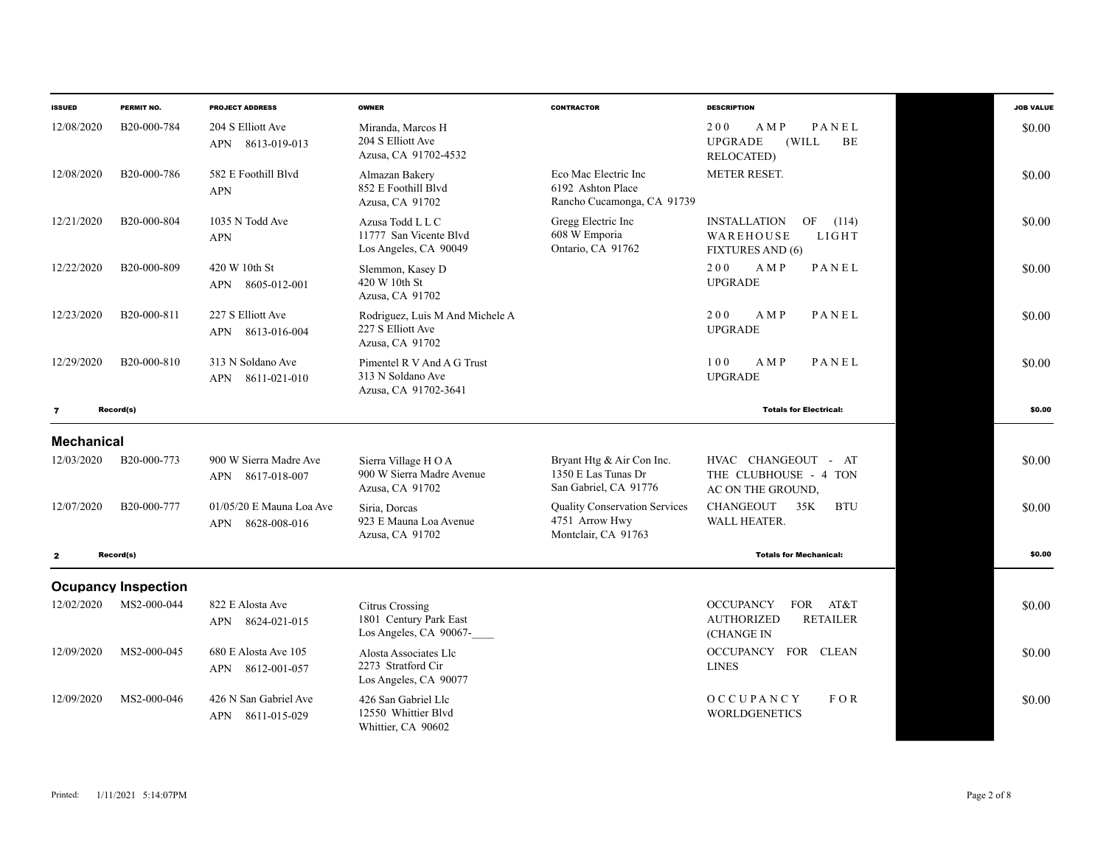| <b>ISSUED</b>     | PERMIT NO.                 | <b>PROJECT ADDRESS</b>                               | <b>OWNER</b>                                                               | <b>CONTRACTOR</b>                                                             | <b>DESCRIPTION</b>                                                                           | <b>JOB VALUE</b> |
|-------------------|----------------------------|------------------------------------------------------|----------------------------------------------------------------------------|-------------------------------------------------------------------------------|----------------------------------------------------------------------------------------------|------------------|
| 12/08/2020        | B20-000-784                | 204 S Elliott Ave<br><b>APN</b><br>8613-019-013      | Miranda, Marcos H<br>204 S Elliott Ave<br>Azusa, CA 91702-4532             |                                                                               | PANEL<br>200<br>A M P<br><b>UPGRADE</b><br>(WILL)<br>BE<br><b>RELOCATED</b> )                | \$0.00           |
| 12/08/2020        | B20-000-786                | 582 E Foothill Blvd<br><b>APN</b>                    | Almazan Bakery<br>852 E Foothill Blvd<br>Azusa, CA 91702                   | Eco Mac Electric Inc<br>6192 Ashton Place<br>Rancho Cucamonga, CA 91739       | <b>METER RESET.</b>                                                                          | \$0.00           |
| 12/21/2020        | B <sub>20</sub> -000-804   | 1035 N Todd Ave<br><b>APN</b>                        | Azusa Todd L L C<br>11777 San Vicente Blvd<br>Los Angeles, CA 90049        | Gregg Electric Inc<br>608 W Emporia<br>Ontario, CA 91762                      | <b>INSTALLATION</b><br>OF<br>(114)<br>LIGHT<br>WAREHOUSE<br><b>FIXTURES AND (6)</b>          | \$0.00           |
| 12/22/2020        | B20-000-809                | 420 W 10th St<br>APN 8605-012-001                    | Slemmon, Kasey D<br>420 W 10th St<br>Azusa, CA 91702                       |                                                                               | 200<br>AMP<br>PANEL<br><b>UPGRADE</b>                                                        | \$0.00           |
| 12/23/2020        | B20-000-811                | 227 S Elliott Ave<br>APN 8613-016-004                | Rodriguez, Luis M And Michele A<br>227 S Elliott Ave<br>Azusa, CA 91702    |                                                                               | 200<br>A M P<br>PANEL<br><b>UPGRADE</b>                                                      | \$0.00           |
| 12/29/2020        | B <sub>20</sub> -000-810   | 313 N Soldano Ave<br>APN 8611-021-010                | Pimentel R V And A G Trust<br>313 N Soldano Ave<br>Azusa, CA 91702-3641    |                                                                               | PANEL<br>100<br>AMP<br><b>UPGRADE</b>                                                        | \$0.00           |
| $\overline{7}$    | Record(s)                  |                                                      |                                                                            |                                                                               | <b>Totals for Electrical:</b>                                                                | \$0.00           |
| <b>Mechanical</b> |                            |                                                      |                                                                            |                                                                               |                                                                                              |                  |
| 12/03/2020        | B20-000-773                | 900 W Sierra Madre Ave<br><b>APN</b><br>8617-018-007 | Sierra Village HOA<br>900 W Sierra Madre Avenue<br>Azusa, CA 91702         | Bryant Htg & Air Con Inc.<br>1350 E Las Tunas Dr<br>San Gabriel, CA 91776     | HVAC CHANGEOUT - AT<br>THE CLUBHOUSE - 4 TON<br>AC ON THE GROUND,                            | \$0.00           |
| 12/07/2020        | B20-000-777                | $01/05/20$ E Mauna Loa Ave<br>8628-008-016<br>APN    | Siria, Dorcas<br>923 E Mauna Loa Avenue<br>Azusa, CA 91702                 | <b>Quality Conservation Services</b><br>4751 Arrow Hwy<br>Montclair, CA 91763 | <b>CHANGEOUT</b><br>35K<br><b>BTU</b><br><b>WALL HEATER.</b>                                 | \$0.00           |
| $\mathbf{z}$      | Record(s)                  |                                                      |                                                                            |                                                                               | <b>Totals for Mechanical:</b>                                                                | \$0.00           |
|                   | <b>Ocupancy Inspection</b> |                                                      |                                                                            |                                                                               |                                                                                              |                  |
| 12/02/2020        | MS2-000-044                | 822 E Alosta Ave<br><b>APN</b><br>8624-021-015       | <b>Citrus Crossing</b><br>1801 Century Park East<br>Los Angeles, CA 90067- |                                                                               | AT&T<br><b>OCCUPANCY</b><br><b>FOR</b><br><b>AUTHORIZED</b><br><b>RETAILER</b><br>(CHANGE IN | \$0.00           |
| 12/09/2020        | MS2-000-045                | 680 E Alosta Ave 105<br>8612-001-057<br><b>APN</b>   | Alosta Associates Llc<br>2273 Stratford Cir<br>Los Angeles, CA 90077       |                                                                               | OCCUPANCY FOR CLEAN<br><b>LINES</b>                                                          | \$0.00           |
| 12/09/2020        | MS2-000-046                | 426 N San Gabriel Ave<br><b>APN</b><br>8611-015-029  | 426 San Gabriel Llc<br>12550 Whittier Blvd<br>Whittier, CA 90602           |                                                                               | OCCUPANCY<br>$F$ O R<br><b>WORLDGENETICS</b>                                                 | \$0.00           |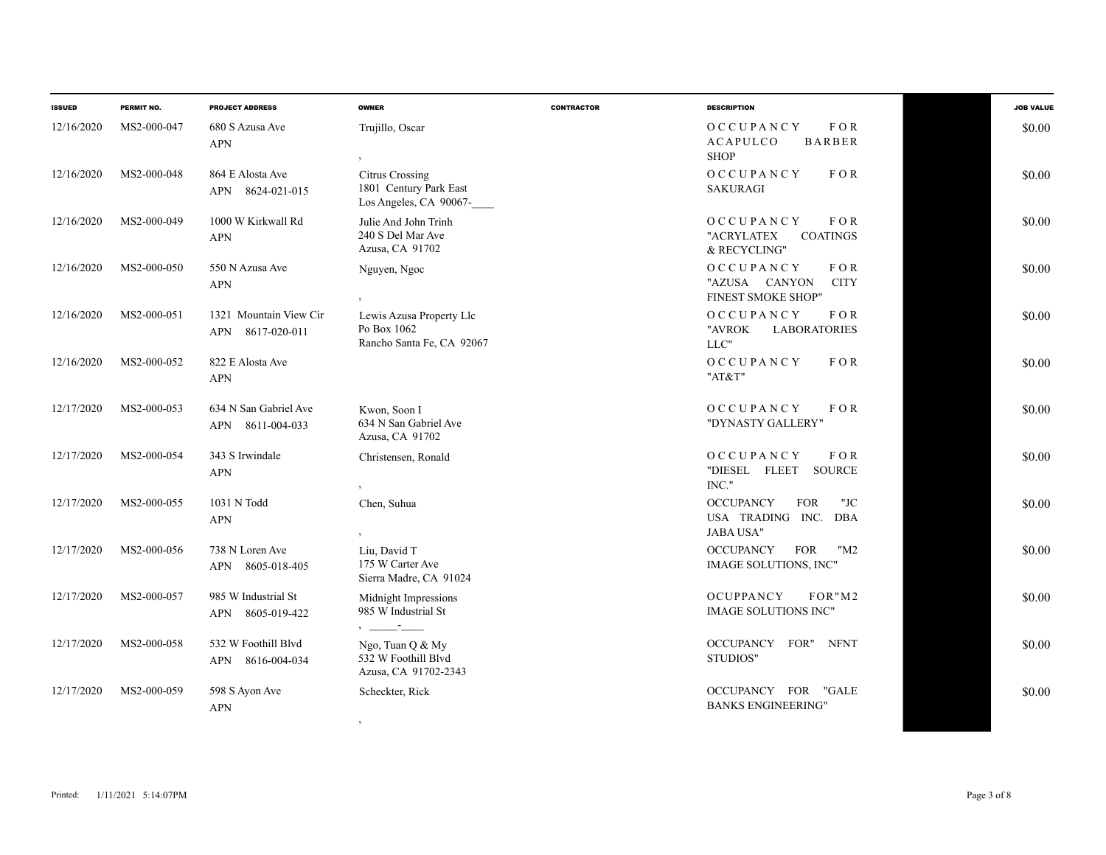| <b>ISSUED</b> | PERMIT NO.  | <b>PROJECT ADDRESS</b>                        | <b>OWNER</b>                                                               | <b>CONTRACTOR</b> | <b>DESCRIPTION</b>                                                                | <b>JOB VALUE</b> |
|---------------|-------------|-----------------------------------------------|----------------------------------------------------------------------------|-------------------|-----------------------------------------------------------------------------------|------------------|
| 12/16/2020    | MS2-000-047 | 680 S Azusa Ave<br><b>APN</b>                 | Trujillo, Oscar                                                            |                   | OCCUPANCY<br>FOR<br><b>BARBER</b><br><b>ACAPULCO</b><br><b>SHOP</b>               | \$0.00           |
| 12/16/2020    | MS2-000-048 | 864 E Alosta Ave<br>APN 8624-021-015          | <b>Citrus Crossing</b><br>1801 Century Park East<br>Los Angeles, CA 90067- |                   | OCCUPANCY<br>FOR<br><b>SAKURAGI</b>                                               | \$0.00           |
| 12/16/2020    | MS2-000-049 | 1000 W Kirkwall Rd<br><b>APN</b>              | Julie And John Trinh<br>240 S Del Mar Ave<br>Azusa, CA 91702               |                   | $F$ O R<br>OCCUPANCY<br>"ACRYLATEX<br><b>COATINGS</b><br>& RECYCLING"             | \$0.00           |
| 12/16/2020    | MS2-000-050 | 550 N Azusa Ave<br><b>APN</b>                 | Nguyen, Ngoc                                                               |                   | OCCUPANCY<br>$F$ O R<br><b>CITY</b><br>"AZUSA CANYON<br><b>FINEST SMOKE SHOP"</b> | \$0.00           |
| 12/16/2020    | MS2-000-051 | 1321 Mountain View Cir<br>8617-020-011<br>APN | Lewis Azusa Property Llc<br>Po Box 1062<br>Rancho Santa Fe, CA 92067       |                   | OCCUPANCY<br>F O R<br>"AVROK<br><b>LABORATORIES</b><br>LLC"                       | \$0.00           |
| 12/16/2020    | MS2-000-052 | 822 E Alosta Ave<br><b>APN</b>                |                                                                            |                   | $F$ O R<br>OCCUPANCY<br>"AT&T"                                                    | \$0.00           |
| 12/17/2020    | MS2-000-053 | 634 N San Gabriel Ave<br>APN 8611-004-033     | Kwon, Soon I<br>634 N San Gabriel Ave<br>Azusa, CA 91702                   |                   | OCCUPANCY<br>FOR<br>"DYNASTY GALLERY"                                             | \$0.00           |
| 12/17/2020    | MS2-000-054 | 343 S Irwindale<br><b>APN</b>                 | Christensen, Ronald<br>$\overline{ }$                                      |                   | OCCUPANCY<br>$F$ O R<br>"DIESEL FLEET<br><b>SOURCE</b><br>$INC.$ "                | \$0.00           |
| 12/17/2020    | MS2-000-055 | 1031 N Todd<br><b>APN</b>                     | Chen, Suhua                                                                |                   | "JC<br><b>OCCUPANCY</b><br><b>FOR</b><br>USA TRADING INC. DBA<br><b>JABA USA"</b> | \$0.00           |
| 12/17/2020    | MS2-000-056 | 738 N Loren Ave<br>APN 8605-018-405           | Liu, David T<br>175 W Carter Ave<br>Sierra Madre, CA 91024                 |                   | <b>OCCUPANCY</b><br>"M2<br><b>FOR</b><br>IMAGE SOLUTIONS, INC"                    | \$0.00           |
| 12/17/2020    | MS2-000-057 | 985 W Industrial St<br>APN 8605-019-422       | Midnight Impressions<br>985 W Industrial St                                |                   | <b>OCUPPANCY</b><br>FOR"M2<br><b>IMAGE SOLUTIONS INC"</b>                         | \$0.00           |
| 12/17/2020    | MS2-000-058 | 532 W Foothill Blvd<br>APN 8616-004-034       | Ngo, Tuan Q & My<br>532 W Foothill Blvd<br>Azusa, CA 91702-2343            |                   | OCCUPANCY FOR" NFNT<br>STUDIOS"                                                   | \$0.00           |
| 12/17/2020    | MS2-000-059 | 598 S Ayon Ave<br><b>APN</b>                  | Scheckter, Rick                                                            |                   | OCCUPANCY FOR "GALE<br><b>BANKS ENGINEERING"</b>                                  | \$0.00           |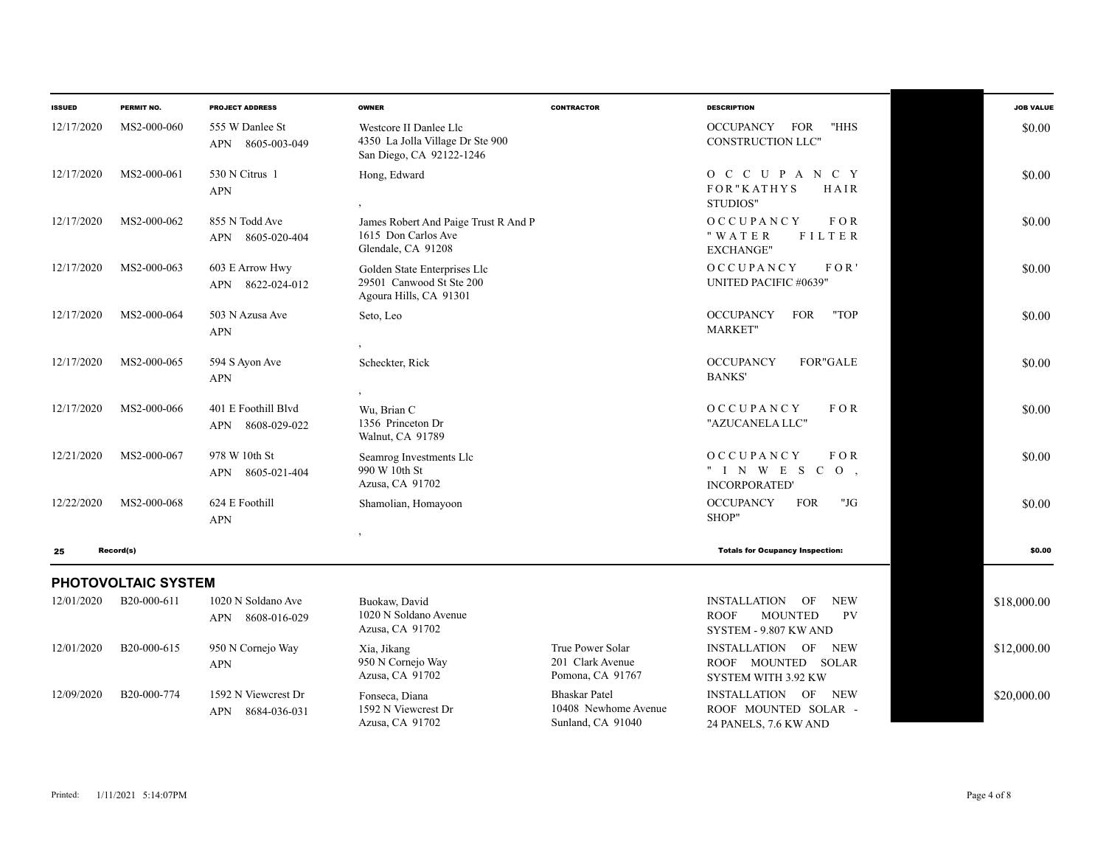| <b>ISSUED</b> | PERMIT NO.          | <b>PROJECT ADDRESS</b>                     | <b>OWNER</b>                                                                           | <b>CONTRACTOR</b>                                        | <b>DESCRIPTION</b>                                                                                             | <b>JOB VALUE</b> |
|---------------|---------------------|--------------------------------------------|----------------------------------------------------------------------------------------|----------------------------------------------------------|----------------------------------------------------------------------------------------------------------------|------------------|
| 12/17/2020    | MS2-000-060         | 555 W Danlee St<br>APN<br>8605-003-049     | Westcore II Danlee Llc<br>4350 La Jolla Village Dr Ste 900<br>San Diego, CA 92122-1246 |                                                          | "HHS<br><b>OCCUPANCY</b><br><b>FOR</b><br>CONSTRUCTION LLC"                                                    | \$0.00           |
| 12/17/2020    | MS2-000-061         | 530 N Citrus 1<br><b>APN</b>               | Hong, Edward                                                                           |                                                          | O C C U P A N C Y<br>FOR"KATHYS<br>HAIR<br>STUDIOS"                                                            | \$0.00           |
| 12/17/2020    | MS2-000-062         | 855 N Todd Ave<br>APN 8605-020-404         | James Robert And Paige Trust R And P<br>1615 Don Carlos Ave<br>Glendale, CA 91208      |                                                          | FOR<br>OCCUPANCY<br>FILTER<br>"WATER<br><b>EXCHANGE"</b>                                                       | \$0.00           |
| 12/17/2020    | MS2-000-063         | 603 E Arrow Hwy<br>APN 8622-024-012        | Golden State Enterprises Llc<br>29501 Canwood St Ste 200<br>Agoura Hills, CA 91301     |                                                          | OCCUPANCY<br>FOR'<br>UNITED PACIFIC #0639"                                                                     | \$0.00           |
| 12/17/2020    | MS2-000-064         | 503 N Azusa Ave<br><b>APN</b>              | Seto, Leo                                                                              |                                                          | "TOP<br><b>OCCUPANCY</b><br><b>FOR</b><br><b>MARKET"</b>                                                       | \$0.00           |
| 12/17/2020    | MS2-000-065         | 594 S Ayon Ave<br><b>APN</b>               | Scheckter, Rick                                                                        |                                                          | <b>OCCUPANCY</b><br><b>FOR"GALE</b><br><b>BANKS'</b>                                                           | \$0.00           |
| 12/17/2020    | MS2-000-066         | 401 E Foothill Blvd<br>8608-029-022<br>APN | Wu, Brian C<br>1356 Princeton Dr<br>Walnut, CA 91789                                   |                                                          | OCCUPANCY<br>FOR<br>"AZUCANELA LLC"                                                                            | \$0.00           |
| 12/21/2020    | MS2-000-067         | 978 W 10th St<br>8605-021-404<br>APN       | Seamrog Investments Llc<br>990 W 10th St<br>Azusa, CA 91702                            |                                                          | OCCUPANCY<br>$F$ O R<br>" I N W E S C<br>$\overline{O}$ ,<br><b>INCORPORATED'</b>                              | \$0.00           |
| 12/22/2020    | MS2-000-068         | 624 E Foothill<br><b>APN</b>               | Shamolian, Homayoon                                                                    |                                                          | <b>OCCUPANCY</b><br><b>FOR</b><br>"JG<br>SHOP"                                                                 | \$0.00           |
| 25            | Record(s)           |                                            |                                                                                        |                                                          | <b>Totals for Ocupancy Inspection:</b>                                                                         | \$0.00           |
|               | PHOTOVOLTAIC SYSTEM |                                            |                                                                                        |                                                          |                                                                                                                |                  |
| 12/01/2020    | B20-000-611         | 1020 N Soldano Ave<br>APN 8608-016-029     | Buokaw, David<br>1020 N Soldano Avenue<br>Azusa, CA 91702                              |                                                          | <b>INSTALLATION</b><br><b>NEW</b><br>OF<br><b>ROOF</b><br><b>MOUNTED</b><br><b>PV</b><br>SYSTEM - 9.807 KW AND | \$18,000.00      |
| 12/01/2020    | B20-000-615         | 950 N Cornejo Way<br><b>APN</b>            | Xia, Jikang<br>950 N Cornejo Way<br>Azusa, CA 91702                                    | True Power Solar<br>201 Clark Avenue<br>Pomona, CA 91767 | INSTALLATION OF NEW<br>ROOF MOUNTED SOLAR<br>SYSTEM WITH 3.92 KW                                               | \$12,000.00      |
| 12/09/2020    | B20-000-774         | 1592 N Viewcrest Dr<br>APN<br>8684-036-031 | Fonseca, Diana<br>1592 N Viewcrest Dr                                                  | <b>Bhaskar Patel</b><br>10408 Newhome Avenue             | INSTALLATION OF NEW<br>ROOF MOUNTED SOLAR -                                                                    | \$20,000.00      |

Sunland, CA 91040

Azusa, CA 91702

24 PANELS, 7.6 KW AND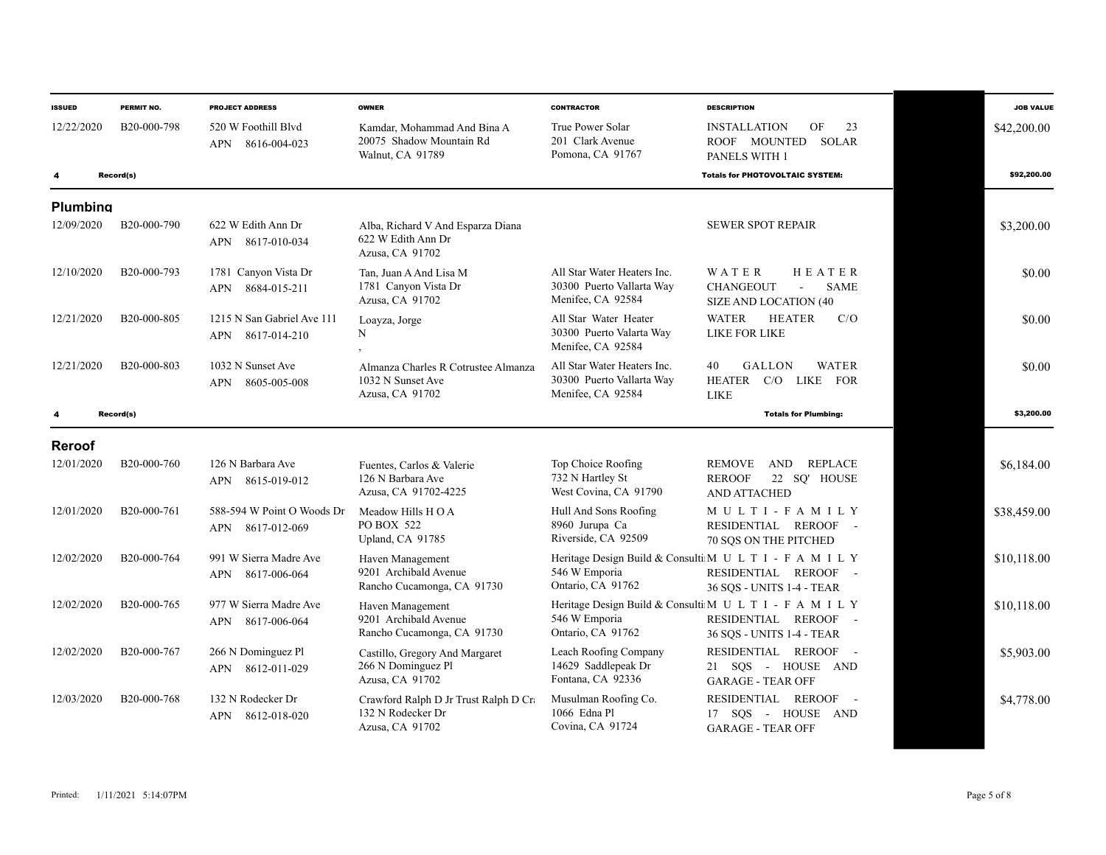| <b>ISSUED</b>   | PERMIT NO.  | <b>PROJECT ADDRESS</b>                                   | <b>OWNER</b>                                                                  | <b>CONTRACTOR</b>                                                             | <b>DESCRIPTION</b>                                                                                                   | <b>JOB VALUE</b> |
|-----------------|-------------|----------------------------------------------------------|-------------------------------------------------------------------------------|-------------------------------------------------------------------------------|----------------------------------------------------------------------------------------------------------------------|------------------|
| 12/22/2020      | B20-000-798 | 520 W Foothill Blyd<br>8616-004-023<br>APN               | Kamdar, Mohammad And Bina A<br>20075 Shadow Mountain Rd<br>Walnut, CA 91789   | True Power Solar<br>201 Clark Avenue<br>Pomona, CA 91767                      | <b>INSTALLATION</b><br>OF<br>23<br><b>SOLAR</b><br>ROOF MOUNTED<br>PANELS WITH 1                                     | \$42,200.00      |
|                 | Record(s)   |                                                          |                                                                               |                                                                               | <b>Totals for PHOTOVOLTAIC SYSTEM:</b>                                                                               | \$92,200.00      |
| <b>Plumbing</b> |             |                                                          |                                                                               |                                                                               |                                                                                                                      |                  |
| 12/09/2020      | B20-000-790 | 622 W Edith Ann Dr<br>8617-010-034<br>APN                | Alba, Richard V And Esparza Diana<br>622 W Edith Ann Dr<br>Azusa, CA 91702    |                                                                               | <b>SEWER SPOT REPAIR</b>                                                                                             | \$3,200.00       |
| 12/10/2020      | B20-000-793 | 1781 Canyon Vista Dr<br><b>APN</b><br>8684-015-211       | Tan, Juan A And Lisa M<br>1781 Canyon Vista Dr<br>Azusa, CA 91702             | All Star Water Heaters Inc.<br>30300 Puerto Vallarta Way<br>Menifee, CA 92584 | HEATER<br>WATER<br><b>CHANGEOUT</b><br><b>SAME</b><br>$\mathbf{r}$<br><b>SIZE AND LOCATION (40</b>                   | \$0.00           |
| 12/21/2020      | B20-000-805 | 1215 N San Gabriel Ave 111<br><b>APN</b><br>8617-014-210 | Loayza, Jorge<br>N                                                            | All Star Water Heater<br>30300 Puerto Valarta Way<br>Menifee, CA 92584        | <b>WATER</b><br><b>HEATER</b><br>C/O<br>LIKE FOR LIKE                                                                | \$0.00           |
| 12/21/2020      | B20-000-803 | 1032 N Sunset Ave<br>APN<br>8605-005-008                 | Almanza Charles R Cotrustee Almanza<br>1032 N Sunset Ave<br>Azusa, CA 91702   | All Star Water Heaters Inc.<br>30300 Puerto Vallarta Way<br>Menifee, CA 92584 | GALLON<br><b>WATER</b><br>40<br><b>HEATER</b><br>$C/O$ LIKE<br><b>FOR</b><br><b>LIKE</b>                             | \$0.00           |
| 4               | Record(s)   |                                                          |                                                                               |                                                                               | <b>Totals for Plumbing:</b>                                                                                          | \$3,200,00       |
| <b>Reroof</b>   |             |                                                          |                                                                               |                                                                               |                                                                                                                      |                  |
| 12/01/2020      | B20-000-760 | 126 N Barbara Ave<br>APN 8615-019-012                    | Fuentes, Carlos & Valerie<br>126 N Barbara Ave<br>Azusa, CA 91702-4225        | Top Choice Roofing<br>732 N Hartley St<br>West Covina, CA 91790               | <b>REPLACE</b><br><b>REMOVE</b><br>AND<br><b>REROOF</b><br>22 SQ' HOUSE<br><b>AND ATTACHED</b>                       | \$6,184.00       |
| 12/01/2020      | B20-000-761 | 588-594 W Point O Woods Dr<br>APN 8617-012-069           | Meadow Hills H O A<br>PO BOX 522<br>Upland, CA 91785                          | Hull And Sons Roofing<br>8960 Jurupa Ca<br>Riverside, CA 92509                | MULTI-FAMILY<br>RESIDENTIAL REROOF -<br>70 SOS ON THE PITCHED                                                        | \$38,459.00      |
| 12/02/2020      | B20-000-764 | 991 W Sierra Madre Ave<br>APN<br>8617-006-064            | Haven Management<br>9201 Archibald Avenue<br>Rancho Cucamonga, CA 91730       | 546 W Emporia<br>Ontario, CA 91762                                            | Heritage Design Build & Consulti M U L T I - F A M I L Y<br>RESIDENTIAL REROOF -<br><b>36 SOS - UNITS 1-4 - TEAR</b> | \$10,118.00      |
| 12/02/2020      | B20-000-765 | 977 W Sierra Madre Ave<br>8617-006-064<br>APN            | Haven Management<br>9201 Archibald Avenue<br>Rancho Cucamonga, CA 91730       | 546 W Emporia<br>Ontario, CA 91762                                            | Heritage Design Build & Consulti M U L T I - F A M I L Y<br>RESIDENTIAL REROOF -<br>36 SQS - UNITS 1-4 - TEAR        | \$10.118.00      |
| 12/02/2020      | B20-000-767 | 266 N Dominguez Pl<br>8612-011-029<br>APN                | Castillo, Gregory And Margaret<br>266 N Dominguez Pl<br>Azusa, CA 91702       | Leach Roofing Company<br>14629 Saddlepeak Dr<br>Fontana, CA 92336             | RESIDENTIAL REROOF -<br>21 SQS - HOUSE AND<br><b>GARAGE - TEAR OFF</b>                                               | \$5,903.00       |
| 12/03/2020      | B20-000-768 | 132 N Rodecker Dr<br>8612-018-020<br>APN                 | Crawford Ralph D Jr Trust Ralph D Cr.<br>132 N Rodecker Dr<br>Azusa, CA 91702 | Musulman Roofing Co.<br>1066 Edna Pl<br>Covina, CA 91724                      | RESIDENTIAL REROOF -<br>17 SQS - HOUSE AND<br><b>GARAGE - TEAR OFF</b>                                               | \$4,778.00       |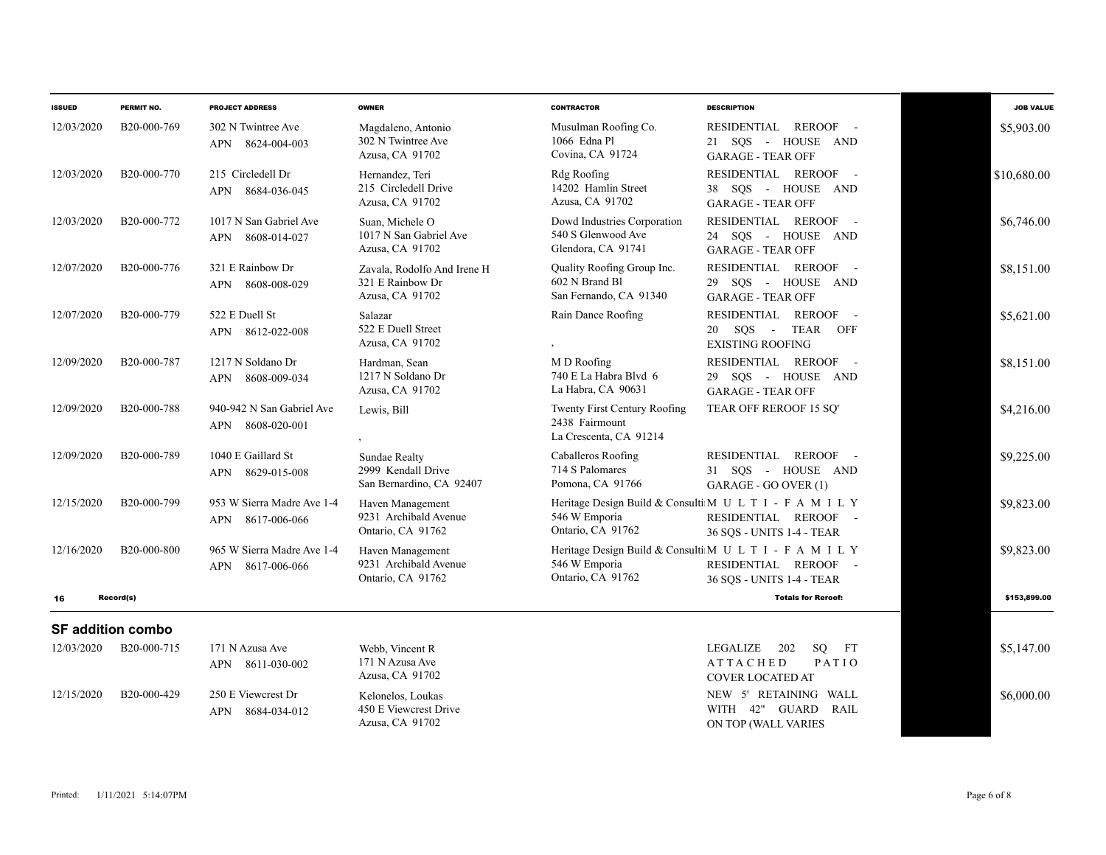| <b>ISSUED</b>            | PERMIT NO.               | <b>PROJECT ADDRESS</b>                                  | <b>OWNER</b>                                                       | <b>CONTRACTOR</b>                                                               | <b>DESCRIPTION</b>                                                                                            | <b>JOB VALUE</b> |  |
|--------------------------|--------------------------|---------------------------------------------------------|--------------------------------------------------------------------|---------------------------------------------------------------------------------|---------------------------------------------------------------------------------------------------------------|------------------|--|
| 12/03/2020               | B20-000-769              | 302 N Twintree Ave<br>APN 8624-004-003                  | Magdaleno, Antonio<br>302 N Twintree Ave<br>Azusa, CA 91702        | Musulman Roofing Co.<br>1066 Edna Pl<br>Covina, CA 91724                        | REROOF -<br>RESIDENTIAL<br>21 SQS - HOUSE AND<br><b>GARAGE - TEAR OFF</b>                                     | \$5,903.00       |  |
| 12/03/2020               | B <sub>20</sub> -000-770 | 215 Circledell Dr<br>APN 8684-036-045                   | Hernandez, Teri<br>215 Circledell Drive<br>Azusa, CA 91702         | Rdg Roofing<br>14202 Hamlin Street<br>Azusa, CA 91702                           | RESIDENTIAL REROOF -<br>38 SQS - HOUSE AND<br><b>GARAGE - TEAR OFF</b>                                        | \$10,680.00      |  |
| 12/03/2020               | B <sub>20</sub> -000-772 | 1017 N San Gabriel Ave<br>8608-014-027<br>APN           | Suan, Michele O<br>1017 N San Gabriel Ave<br>Azusa, CA 91702       | Dowd Industries Corporation<br>540 S Glenwood Ave<br>Glendora, CA 91741         | RESIDENTIAL REROOF -<br>24 SOS - HOUSE AND<br><b>GARAGE - TEAR OFF</b>                                        | \$6,746.00       |  |
| 12/07/2020               | B20-000-776              | 321 E Rainbow Dr<br>8608-008-029<br>APN                 | Zavala, Rodolfo And Irene H<br>321 E Rainbow Dr<br>Azusa, CA 91702 | Quality Roofing Group Inc.<br>602 N Brand Bl<br>San Fernando, CA 91340          | RESIDENTIAL REROOF -<br>29 SQS - HOUSE AND<br><b>GARAGE - TEAR OFF</b>                                        | \$8,151.00       |  |
| 12/07/2020               | B20-000-779              | 522 E Duell St<br>8612-022-008<br>APN                   | Salazar<br>522 E Duell Street<br>Azusa, CA 91702                   | Rain Dance Roofing                                                              | RESIDENTIAL REROOF -<br>20 SQS - TEAR<br>OFF<br><b>EXISTING ROOFING</b>                                       | \$5,621.00       |  |
| 12/09/2020               | B <sub>20</sub> -000-787 | 1217 N Soldano Dr<br>8608-009-034<br>APN                | Hardman, Sean<br>1217 N Soldano Dr<br>Azusa, CA 91702              | M D Roofing<br>740 E La Habra Blvd 6<br>La Habra, CA 90631                      | RESIDENTIAL REROOF -<br>29 SOS - HOUSE AND<br><b>GARAGE - TEAR OFF</b>                                        | \$8,151.00       |  |
| 12/09/2020               | B <sub>20</sub> -000-788 | 940-942 N San Gabriel Ave<br>8608-020-001<br><b>APN</b> | Lewis, Bill                                                        | <b>Twenty First Century Roofing</b><br>2438 Fairmount<br>La Crescenta, CA 91214 | TEAR OFF REROOF 15 SQ'                                                                                        | \$4,216.00       |  |
| 12/09/2020               | B20-000-789              | 1040 E Gaillard St<br>8629-015-008<br>APN               | Sundae Realty<br>2999 Kendall Drive<br>San Bernardino, CA 92407    | Caballeros Roofing<br>714 S Palomares<br>Pomona, CA 91766                       | RESIDENTIAL REROOF -<br>31 SQS - HOUSE AND<br>GARAGE - GO OVER (1)                                            | \$9,225.00       |  |
| 12/15/2020               | B20-000-799              | 953 W Sierra Madre Ave 1-4<br>8617-006-066<br>APN       | Haven Management<br>9231 Archibald Avenue<br>Ontario, CA 91762     | 546 W Emporia<br>Ontario, CA 91762                                              | Heritage Design Build & Consulti M U L T I - F A M I L Y<br>RESIDENTIAL REROOF -<br>36 SOS - UNITS 1-4 - TEAR | \$9,823.00       |  |
| 12/16/2020               | B <sub>20</sub> -000-800 | 965 W Sierra Madre Ave 1-4<br>8617-006-066<br>APN       | Haven Management<br>9231 Archibald Avenue<br>Ontario, CA 91762     | 546 W Emporia<br>Ontario, CA 91762                                              | Heritage Design Build & Consulti M U L T I - F A M I L Y<br>RESIDENTIAL REROOF -<br>36 SQS - UNITS 1-4 - TEAR | \$9.823.00       |  |
| 16                       | Record(s)                |                                                         |                                                                    |                                                                                 | <b>Totals for Reroof:</b>                                                                                     | \$153,899.00     |  |
| <b>SF addition combo</b> |                          |                                                         |                                                                    |                                                                                 |                                                                                                               |                  |  |
| 12/03/2020               | B20-000-715              | 171 N Azusa Ave<br>APN 8611-030-002                     | Webb. Vincent R<br>171 N Azusa Ave<br>Azusa, CA 91702              |                                                                                 | LEGALIZE<br>202<br>SO.<br>FT<br>PATIO<br><b>ATTACHED</b><br>COVER LOCATED AT                                  | \$5,147.00       |  |
| 12/15/2020               | B20-000-429              | 250 E Viewcrest Dr<br>8684-034-012<br>APN               | Kelonelos, Loukas<br>450 E Viewcrest Drive<br>Azusa, CA 91702      |                                                                                 | NEW 5' RETAINING WALL<br>WITH 42" GUARD<br><b>RAIL</b><br>ON TOP (WALL VARIES                                 | \$6,000.00       |  |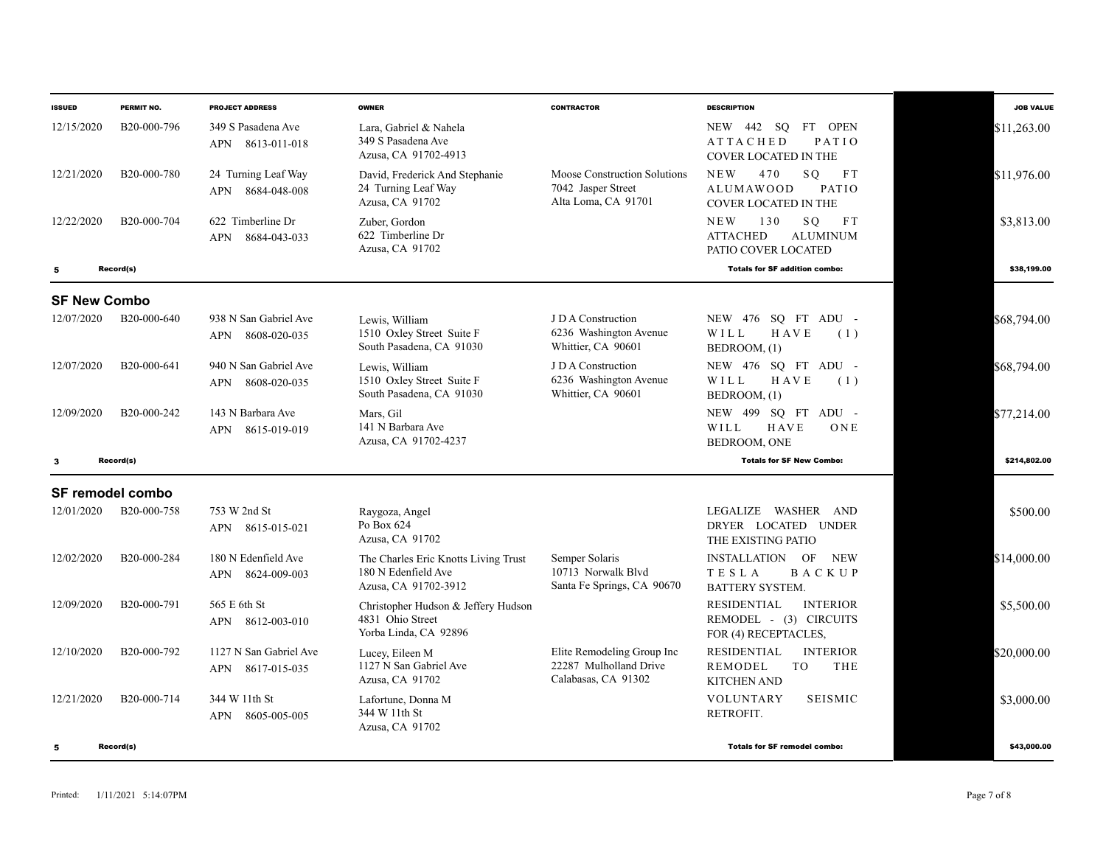| <b>ISSUED</b>       | PERMIT NO.               | <b>PROJECT ADDRESS</b>                          | <b>OWNER</b>                                                                        | <b>CONTRACTOR</b>                                                           | <b>DESCRIPTION</b>                                                                          | <b>JOB VALUE</b> |
|---------------------|--------------------------|-------------------------------------------------|-------------------------------------------------------------------------------------|-----------------------------------------------------------------------------|---------------------------------------------------------------------------------------------|------------------|
| 12/15/2020          | B <sub>20</sub> -000-796 | 349 S Pasadena Ave<br>8613-011-018<br>APN       | Lara, Gabriel & Nahela<br>349 S Pasadena Ave<br>Azusa, CA 91702-4913                |                                                                             | FT OPEN<br>NEW 442<br>SQ<br><b>ATTACHED</b><br>PATIO<br><b>COVER LOCATED IN THE</b>         | \$11,263.00      |
| 12/21/2020          | B20-000-780              | 24 Turning Leaf Way<br>8684-048-008<br>APN      | David, Frederick And Stephanie<br>24 Turning Leaf Way<br>Azusa, CA 91702            | Moose Construction Solutions<br>7042 Jasper Street<br>Alta Loma, CA 91701   | <b>NEW</b><br>SO.<br>FT<br>470<br>PATIO<br>ALUMAWOOD<br><b>COVER LOCATED IN THE</b>         | \$11,976.00      |
| 12/22/2020          | B20-000-704              | 622 Timberline Dr<br><b>APN</b><br>8684-043-033 | Zuber, Gordon<br>622 Timberline Dr<br>Azusa, CA 91702                               |                                                                             | <b>NEW</b><br>130<br>SQ<br>F T<br><b>ATTACHED</b><br><b>ALUMINUM</b><br>PATIO COVER LOCATED | \$3,813.00       |
| 5                   | Record(s)                |                                                 |                                                                                     |                                                                             | <b>Totals for SF addition combo:</b>                                                        | \$38,199.00      |
| <b>SF New Combo</b> |                          |                                                 |                                                                                     |                                                                             |                                                                                             |                  |
| 12/07/2020          | B20-000-640              | 938 N San Gabriel Ave<br>8608-020-035<br>APN    | Lewis, William<br>1510 Oxley Street Suite F<br>South Pasadena, CA 91030             | J D A Construction<br>6236 Washington Avenue<br>Whittier, CA 90601          | NEW 476 SQ FT ADU -<br>WILL<br>HAVE<br>(1)<br>BEDROOM, (1)                                  | \$68,794.00      |
| 12/07/2020          | B20-000-641              | 940 N San Gabriel Ave<br>APN<br>8608-020-035    | Lewis, William<br>1510 Oxley Street Suite F<br>South Pasadena, CA 91030             | J D A Construction<br>6236 Washington Avenue<br>Whittier, CA 90601          | NEW 476 SO FT ADU -<br>WILL<br>HAVE<br>(1)<br>BEDROOM, (1)                                  | \$68.794.00      |
| 12/09/2020          | B20-000-242              | 143 N Barbara Ave<br>8615-019-019<br><b>APN</b> | Mars, Gil<br>141 N Barbara Ave<br>Azusa, CA 91702-4237                              |                                                                             | NEW 499 SQ FT ADU -<br>HAVE<br>WILL<br>ONE<br>BEDROOM, ONE                                  | \$77,214.00      |
| -3                  | Record(s)                |                                                 |                                                                                     |                                                                             | <b>Totals for SF New Combo:</b>                                                             | \$214,802,00     |
|                     | <b>SF remodel combo</b>  |                                                 |                                                                                     |                                                                             |                                                                                             |                  |
| 12/01/2020          | B20-000-758              | 753 W 2nd St<br>APN 8615-015-021                | Raygoza, Angel<br>Po Box 624<br>Azusa, CA 91702                                     |                                                                             | WASHER AND<br>LEGALIZE<br>DRYER LOCATED UNDER<br>THE EXISTING PATIO                         | \$500.00         |
| 12/02/2020          | B20-000-284              | 180 N Edenfield Ave<br>8624-009-003<br>APN      | The Charles Eric Knotts Living Trust<br>180 N Edenfield Ave<br>Azusa, CA 91702-3912 | Semper Solaris<br>10713 Norwalk Blyd<br>Santa Fe Springs, CA 90670          | INSTALLATION OF<br><b>NEW</b><br><b>TESLA</b><br><b>BACKUP</b><br><b>BATTERY SYSTEM.</b>    | \$14,000.00      |
| 12/09/2020          | B20-000-791              | 565 E 6th St<br>APN 8612-003-010                | Christopher Hudson & Jeffery Hudson<br>4831 Ohio Street<br>Yorba Linda, CA 92896    |                                                                             | <b>RESIDENTIAL</b><br><b>INTERIOR</b><br>REMODEL - (3) CIRCUITS<br>FOR (4) RECEPTACLES,     | \$5,500.00       |
| 12/10/2020          | B20-000-792              | 1127 N San Gabriel Ave<br>8617-015-035<br>APN   | Lucey, Eileen M<br>1127 N San Gabriel Ave<br>Azusa, CA 91702                        | Elite Remodeling Group Inc<br>22287 Mulholland Drive<br>Calabasas, CA 91302 | <b>RESIDENTIAL</b><br><b>INTERIOR</b><br>REMODEL<br>TO<br>THE<br><b>KITCHEN AND</b>         | \$20,000.00      |
| 12/21/2020          | B20-000-714              | 344 W 11th St<br>APN<br>8605-005-005            | Lafortune, Donna M<br>344 W 11th St<br>Azusa, CA 91702                              |                                                                             | VOLUNTARY<br><b>SEISMIC</b><br>RETROFIT.                                                    | \$3,000.00       |
| 5                   | Record(s)                |                                                 |                                                                                     |                                                                             | <b>Totals for SF remodel combo:</b>                                                         | \$43,000.00      |